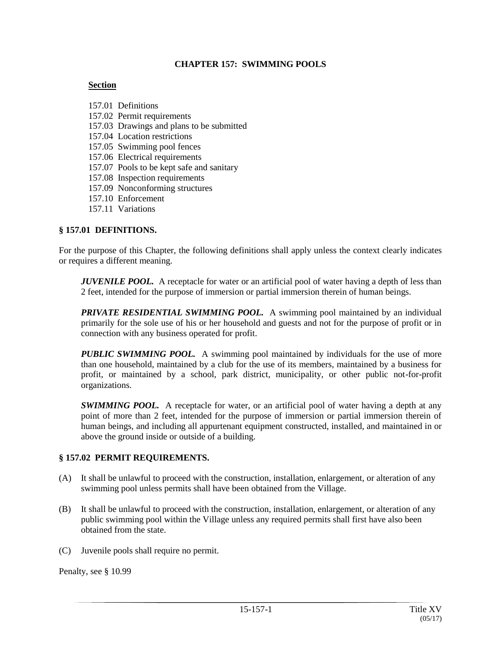#### **CHAPTER 157: SWIMMING POOLS**

#### **Section**

157.01 Definitions 157.02 Permit requirements 157.03 Drawings and plans to be submitted 157.04 Location restrictions 157.05 Swimming pool fences 157.06 Electrical requirements 157.07 Pools to be kept safe and sanitary 157.08 Inspection requirements 157.09 Nonconforming structures 157.10 Enforcement 157.11 Variations

#### **§ 157.01 DEFINITIONS.**

For the purpose of this Chapter, the following definitions shall apply unless the context clearly indicates or requires a different meaning.

*JUVENILE POOL.* A receptacle for water or an artificial pool of water having a depth of less than 2 feet, intended for the purpose of immersion or partial immersion therein of human beings.

*PRIVATE RESIDENTIAL SWIMMING POOL.* A swimming pool maintained by an individual primarily for the sole use of his or her household and guests and not for the purpose of profit or in connection with any business operated for profit.

*PUBLIC SWIMMING POOL.* A swimming pool maintained by individuals for the use of more than one household, maintained by a club for the use of its members, maintained by a business for profit, or maintained by a school, park district, municipality, or other public not-for-profit organizations.

**SWIMMING POOL.** A receptacle for water, or an artificial pool of water having a depth at any point of more than 2 feet, intended for the purpose of immersion or partial immersion therein of human beings, and including all appurtenant equipment constructed, installed, and maintained in or above the ground inside or outside of a building.

### **§ 157.02 PERMIT REQUIREMENTS.**

- (A) It shall be unlawful to proceed with the construction, installation, enlargement, or alteration of any swimming pool unless permits shall have been obtained from the Village.
- (B) It shall be unlawful to proceed with the construction, installation, enlargement, or alteration of any public swimming pool within the Village unless any required permits shall first have also been obtained from the state.
- (C) Juvenile pools shall require no permit.

Penalty, see § 10.99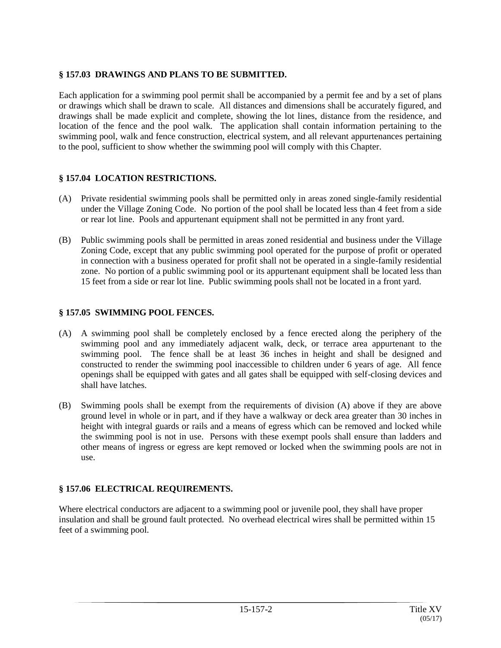# **§ 157.03 DRAWINGS AND PLANS TO BE SUBMITTED.**

Each application for a swimming pool permit shall be accompanied by a permit fee and by a set of plans or drawings which shall be drawn to scale. All distances and dimensions shall be accurately figured, and drawings shall be made explicit and complete, showing the lot lines, distance from the residence, and location of the fence and the pool walk. The application shall contain information pertaining to the swimming pool, walk and fence construction, electrical system, and all relevant appurtenances pertaining to the pool, sufficient to show whether the swimming pool will comply with this Chapter.

# **§ 157.04 LOCATION RESTRICTIONS.**

- (A) Private residential swimming pools shall be permitted only in areas zoned single-family residential under the Village Zoning Code. No portion of the pool shall be located less than 4 feet from a side or rear lot line. Pools and appurtenant equipment shall not be permitted in any front yard.
- (B) Public swimming pools shall be permitted in areas zoned residential and business under the Village Zoning Code, except that any public swimming pool operated for the purpose of profit or operated in connection with a business operated for profit shall not be operated in a single-family residential zone. No portion of a public swimming pool or its appurtenant equipment shall be located less than 15 feet from a side or rear lot line. Public swimming pools shall not be located in a front yard.

# **§ 157.05 SWIMMING POOL FENCES.**

- (A) A swimming pool shall be completely enclosed by a fence erected along the periphery of the swimming pool and any immediately adjacent walk, deck, or terrace area appurtenant to the swimming pool. The fence shall be at least 36 inches in height and shall be designed and constructed to render the swimming pool inaccessible to children under 6 years of age. All fence openings shall be equipped with gates and all gates shall be equipped with self-closing devices and shall have latches.
- (B) Swimming pools shall be exempt from the requirements of division (A) above if they are above ground level in whole or in part, and if they have a walkway or deck area greater than 30 inches in height with integral guards or rails and a means of egress which can be removed and locked while the swimming pool is not in use. Persons with these exempt pools shall ensure than ladders and other means of ingress or egress are kept removed or locked when the swimming pools are not in use.

# **§ 157.06 ELECTRICAL REQUIREMENTS.**

Where electrical conductors are adjacent to a swimming pool or juvenile pool, they shall have proper insulation and shall be ground fault protected. No overhead electrical wires shall be permitted within 15 feet of a swimming pool.